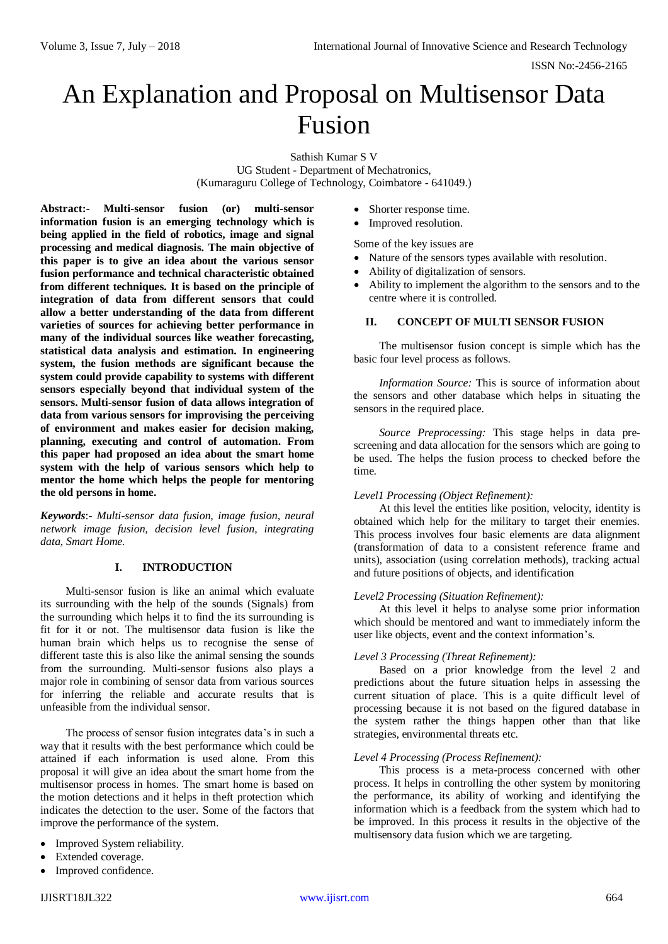# An Explanation and Proposal on Multisensor Data Fusion

Sathish Kumar S V UG Student - Department of Mechatronics, (Kumaraguru College of Technology, Coimbatore - 641049.)

**Abstract:- Multi-sensor fusion (or) multi-sensor information fusion is an emerging technology which is being applied in the field of robotics, image and signal processing and medical diagnosis. The main objective of this paper is to give an idea about the various sensor fusion performance and technical characteristic obtained from different techniques. It is based on the principle of integration of data from different sensors that could allow a better understanding of the data from different varieties of sources for achieving better performance in many of the individual sources like weather forecasting, statistical data analysis and estimation. In engineering system, the fusion methods are significant because the system could provide capability to systems with different sensors especially beyond that individual system of the sensors. Multi-sensor fusion of data allows integration of data from various sensors for improvising the perceiving of environment and makes easier for decision making, planning, executing and control of automation. From this paper had proposed an idea about the smart home system with the help of various sensors which help to mentor the home which helps the people for mentoring the old persons in home.**

*Keywords*:- *Multi-sensor data fusion, image fusion, neural network image fusion, decision level fusion, integrating data, Smart Home.*

# **I. INTRODUCTION**

Multi-sensor fusion is like an animal which evaluate its surrounding with the help of the sounds (Signals) from the surrounding which helps it to find the its surrounding is fit for it or not. The multisensor data fusion is like the human brain which helps us to recognise the sense of different taste this is also like the animal sensing the sounds from the surrounding. Multi-sensor fusions also plays a major role in combining of sensor data from various sources for inferring the reliable and accurate results that is unfeasible from the individual sensor.

The process of sensor fusion integrates data's in such a way that it results with the best performance which could be attained if each information is used alone. From this proposal it will give an idea about the smart home from the multisensor process in homes. The smart home is based on the motion detections and it helps in theft protection which indicates the detection to the user. Some of the factors that improve the performance of the system.

- Improved System reliability.
- Extended coverage.
- Improved confidence.
- IJISRT18JL322 [www.ijisrt.com](http://www.ijisrt.com/) 664
- Shorter response time.
- Improved resolution.

Some of the key issues are

- Nature of the sensors types available with resolution.
- Ability of digitalization of sensors.
- Ability to implement the algorithm to the sensors and to the centre where it is controlled.

## **II. CONCEPT OF MULTI SENSOR FUSION**

The multisensor fusion concept is simple which has the basic four level process as follows.

*Information Source:* This is source of information about the sensors and other database which helps in situating the sensors in the required place.

*Source Preprocessing:* This stage helps in data prescreening and data allocation for the sensors which are going to be used. The helps the fusion process to checked before the time.

#### *Level1 Processing (Object Refinement):*

At this level the entities like position, velocity, identity is obtained which help for the military to target their enemies. This process involves four basic elements are data alignment (transformation of data to a consistent reference frame and units), association (using correlation methods), tracking actual and future positions of objects, and identification

# *Level2 Processing (Situation Refinement):*

At this level it helps to analyse some prior information which should be mentored and want to immediately inform the user like objects, event and the context information's.

#### *Level 3 Processing (Threat Refinement):*

Based on a prior knowledge from the level 2 and predictions about the future situation helps in assessing the current situation of place. This is a quite difficult level of processing because it is not based on the figured database in the system rather the things happen other than that like strategies, environmental threats etc.

#### *Level 4 Processing (Process Refinement):*

This process is a meta-process concerned with other process. It helps in controlling the other system by monitoring the performance, its ability of working and identifying the information which is a feedback from the system which had to be improved. In this process it results in the objective of the multisensory data fusion which we are targeting.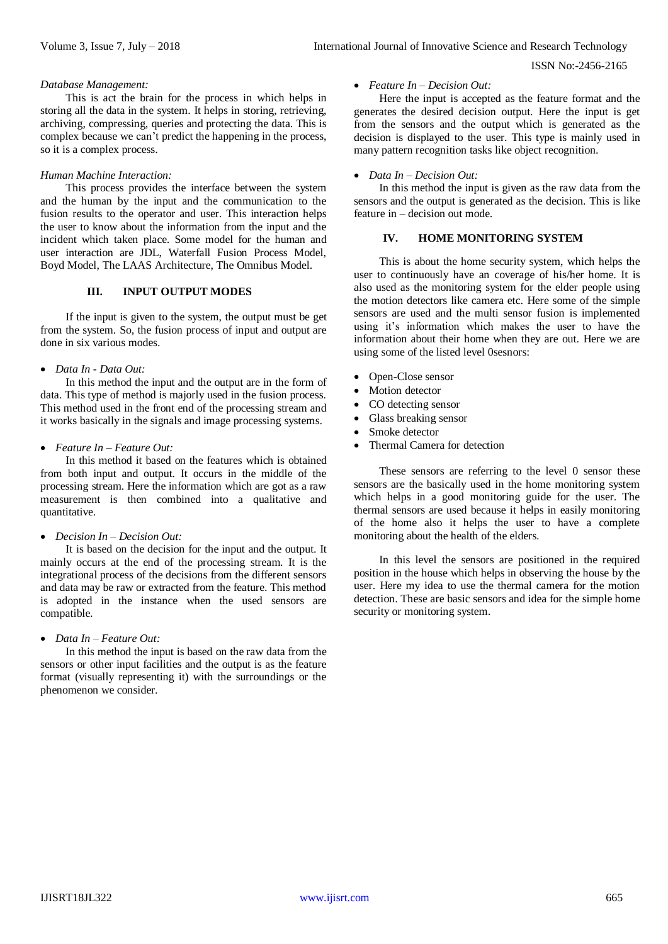# ISSN No:-2456-2165

#### *Database Management:*

This is act the brain for the process in which helps in storing all the data in the system. It helps in storing, retrieving, archiving, compressing, queries and protecting the data. This is complex because we can't predict the happening in the process, so it is a complex process.

## *Human Machine Interaction:*

This process provides the interface between the system and the human by the input and the communication to the fusion results to the operator and user. This interaction helps the user to know about the information from the input and the incident which taken place. Some model for the human and user interaction are JDL, Waterfall Fusion Process Model, Boyd Model, The LAAS Architecture, The Omnibus Model.

# **III. INPUT OUTPUT MODES**

If the input is given to the system, the output must be get from the system. So, the fusion process of input and output are done in six various modes.

# *Data In - Data Out:*

In this method the input and the output are in the form of data. This type of method is majorly used in the fusion process. This method used in the front end of the processing stream and it works basically in the signals and image processing systems.

# *Feature In – Feature Out:*

In this method it based on the features which is obtained from both input and output. It occurs in the middle of the processing stream. Here the information which are got as a raw measurement is then combined into a qualitative and quantitative.

# *Decision In – Decision Out:*

It is based on the decision for the input and the output. It mainly occurs at the end of the processing stream. It is the integrational process of the decisions from the different sensors and data may be raw or extracted from the feature. This method is adopted in the instance when the used sensors are compatible.

# *Data In – Feature Out:*

In this method the input is based on the raw data from the sensors or other input facilities and the output is as the feature format (visually representing it) with the surroundings or the phenomenon we consider.

#### *Feature In – Decision Out:*

Here the input is accepted as the feature format and the generates the desired decision output. Here the input is get from the sensors and the output which is generated as the decision is displayed to the user. This type is mainly used in many pattern recognition tasks like object recognition.

## *Data In – Decision Out:*

In this method the input is given as the raw data from the sensors and the output is generated as the decision. This is like feature in – decision out mode.

# **IV. HOME MONITORING SYSTEM**

This is about the home security system, which helps the user to continuously have an coverage of his/her home. It is also used as the monitoring system for the elder people using the motion detectors like camera etc. Here some of the simple sensors are used and the multi sensor fusion is implemented using it's information which makes the user to have the information about their home when they are out. Here we are using some of the listed level 0sesnors:

- Open-Close sensor
- Motion detector
- CO detecting sensor
- Glass breaking sensor
- Smoke detector
- Thermal Camera for detection

These sensors are referring to the level 0 sensor these sensors are the basically used in the home monitoring system which helps in a good monitoring guide for the user. The thermal sensors are used because it helps in easily monitoring of the home also it helps the user to have a complete monitoring about the health of the elders.

In this level the sensors are positioned in the required position in the house which helps in observing the house by the user. Here my idea to use the thermal camera for the motion detection. These are basic sensors and idea for the simple home security or monitoring system.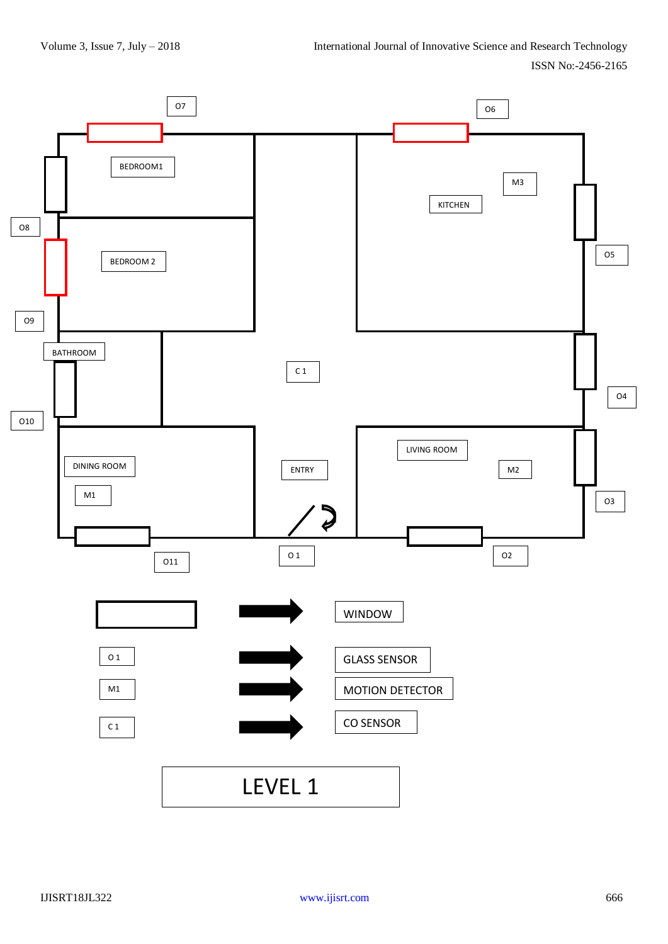